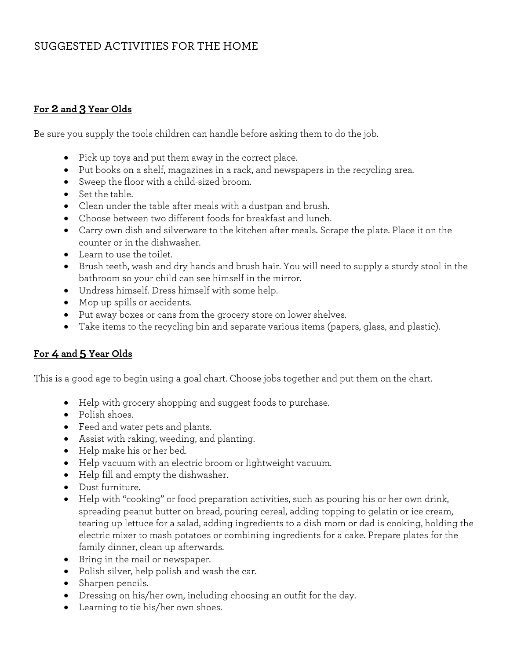# SUGGESTED ACTIVITIES FOR THE HOME

### **For 2 and 3 Year Olds**

Be sure you supply the tools children can handle before asking them to do the job.

- Pick up toys and put them away in the correct place.
- Put books on a shelf, magazines in a rack, and newspapers in the recycling area.
- Sweep the floor with a child-sized broom.
- Set the table.
- Clean under the table after meals with a dustpan and brush.
- Choose between two different foods for breakfast and lunch.
- Carry own dish and silverware to the kitchen after meals. Scrape the plate. Place it on the counter or in the dishwasher.
- Learn to use the toilet.
- Brush teeth, wash and dry hands and brush hair. You will need to supply a sturdy stool in the bathroom so your child can see himself in the mirror.
- Undress himself. Dress himself with some help.
- Mop up spills or accidents.
- Put away boxes or cans from the grocery store on lower shelves.
- Take items to the recycling bin and separate various items (papers, glass, and plastic).

#### **For 4 and 5 Year Olds**

This is a good age to begin using a goal chart. Choose jobs together and put them on the chart.

- Help with grocery shopping and suggest foods to purchase.
- Polish shoes.
- Feed and water pets and plants.
- Assist with raking, weeding, and planting.
- Help make his or her bed.
- Help vacuum with an electric broom or lightweight vacuum.
- Help fill and empty the dishwasher.
- Dust furniture.
- Help with "cooking" or food preparation activities, such as pouring his or her own drink, spreading peanut butter on bread, pouring cereal, adding topping to gelatin or ice cream, tearing up lettuce for a salad, adding ingredients to a dish mom or dad is cooking, holding the electric mixer to mash potatoes or combining ingredients for a cake. Prepare plates for the family dinner, clean up afterwards.
- Bring in the mail or newspaper.
- Polish silver, help polish and wash the car.
- Sharpen pencils.
- Dressing on his/her own, including choosing an outfit for the day.
- Learning to tie his/her own shoes.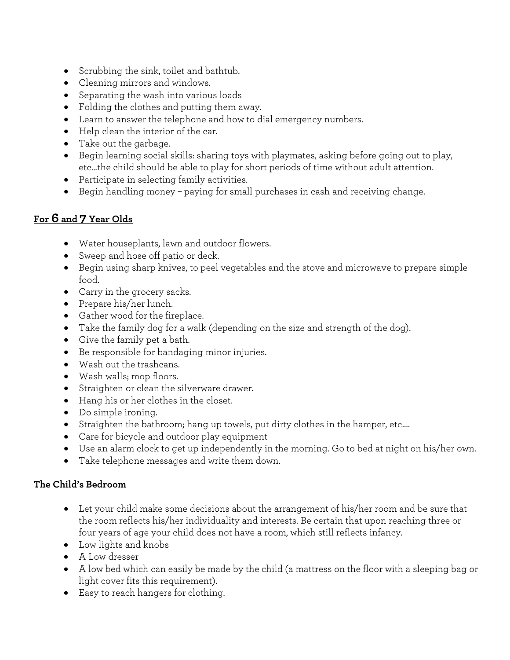- Scrubbing the sink, toilet and bathtub.
- Cleaning mirrors and windows.
- Separating the wash into various loads
- Folding the clothes and putting them away.
- Learn to answer the telephone and how to dial emergency numbers.
- Help clean the interior of the car.
- Take out the garbage.
- Begin learning social skills: sharing toys with playmates, asking before going out to play, etc…the child should be able to play for short periods of time without adult attention.
- Participate in selecting family activities.
- Begin handling money paying for small purchases in cash and receiving change.

# **For 6 and 7 Year Olds**

- Water houseplants, lawn and outdoor flowers.
- Sweep and hose off patio or deck.
- Begin using sharp knives, to peel vegetables and the stove and microwave to prepare simple food.
- Carry in the grocery sacks.
- Prepare his/her lunch.
- Gather wood for the fireplace.
- Take the family dog for a walk (depending on the size and strength of the dog).
- Give the family pet a bath.
- Be responsible for bandaging minor injuries.
- Wash out the trashcans.
- Wash walls; mop floors.
- Straighten or clean the silverware drawer.
- Hang his or her clothes in the closet.
- Do simple ironing.
- Straighten the bathroom; hang up towels, put dirty clothes in the hamper, etc....
- Care for bicycle and outdoor play equipment
- Use an alarm clock to get up independently in the morning. Go to bed at night on his/her own.
- Take telephone messages and write them down.

## **The Child's Bedroom**

- Let your child make some decisions about the arrangement of his/her room and be sure that the room reflects his/her individuality and interests. Be certain that upon reaching three or four years of age your child does not have a room, which still reflects infancy.
- Low lights and knobs
- A Low dresser
- A low bed which can easily be made by the child (a mattress on the floor with a sleeping bag or light cover fits this requirement).
- Easy to reach hangers for clothing.